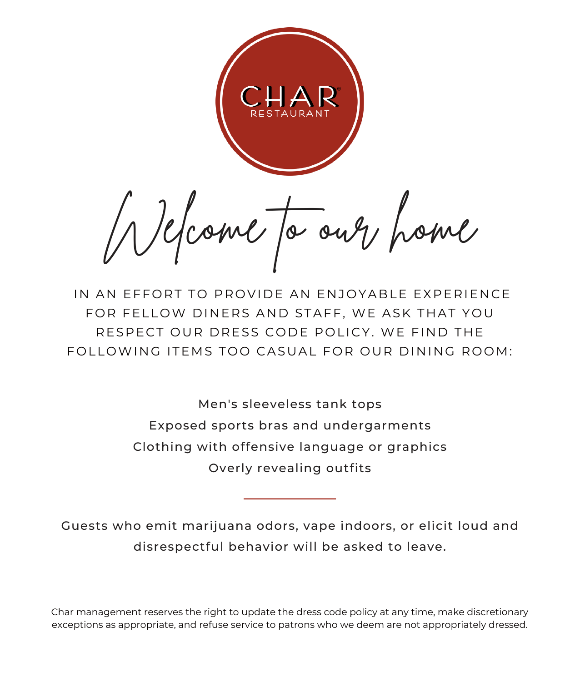Mome to our poine

IN AN FFFORT TO PROVIDE AN ENJOYABLE EXPERIENCE FOR FELLOW DINERS AND STAFF, WE ASK THAT YOU RESPECT OUR DRESS CODE POLICY. WE FIND THE FOLLOWING ITEMS TOO CASUAL FOR OUR DINING ROOM:

> Men's sleeveless tank tops Exposed sports bras and undergarments Clothing with offensive language or graphics Overly revealing outfits

Guests who emit marijuana odors, vape indoors, or elicit loud and disrespectful behavior will be asked to leave.

Char management reserves the right to update the dress code policy at any time, make discretionary exceptions as appropriate, and refuse service to patrons who we deem are not appropriately dressed.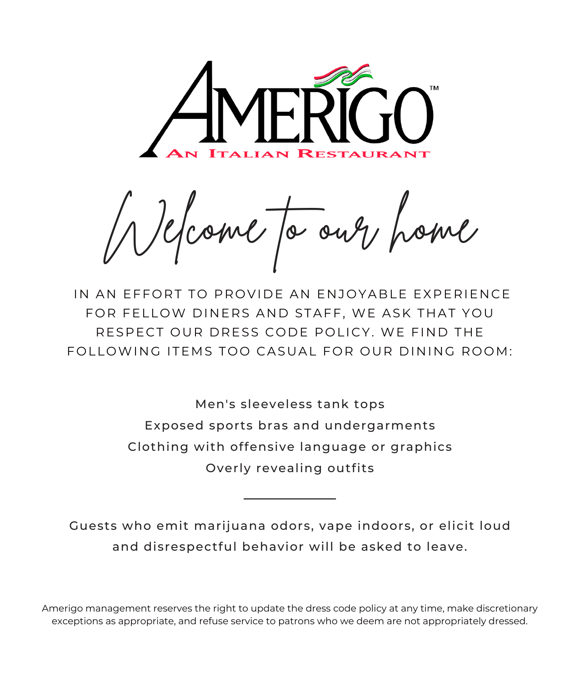

come to our

IN AN FFFORT TO PROVIDE AN ENJOYABLE EXPERIENCE FOR FELLOW DINERS AND STAFF, WE ASK THAT YOU RESPECT OUR DRESS CODE POLICY. WE FIND THE FOLLOWING ITEMS TOO CASUAL FOR OUR DINING ROOM:

> Men's sleeveless tank tops Exposed sports bras and undergarments Clothing with offensive language or graphics Overly revealing outfits

Guests who emit marijuana odors, vape indoors, or elicit loud and disrespectful behavior will be asked to leave.

Amerigo management reserves the right to update the dress code policy at any time, make discretionary exceptions as appropriate, and refuse service to patrons who we deem are not appropriately dressed.